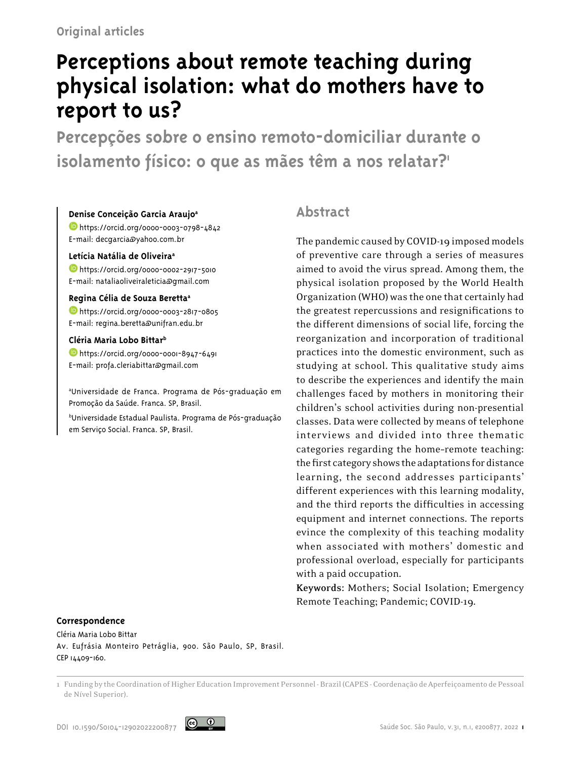# **Perceptions about remote teaching during physical isolation: what do mothers have to report to us?**

**Percepções sobre o ensino remoto-domiciliar durante o isolamento físico: o que as mães têm a nos relatar?1**

#### **Denise Conceição Garcia Araujoa**

<https://orcid.org/0000-0003-0798-4842> E-mail: decgarcia@yahoo.com.br

#### **Letícia Natália de Oliveiraa**

<https://orcid.org/0000-0002-2917-5010> E-mail: nataliaoliveiraleticia@gmail.com

#### **Regina Célia de Souza Berettaa**

<https://orcid.org/0000-0003-2817-0805> E-mail: regina.beretta@unifran.edu.br

#### **Cléria Maria Lobo Bittarb**

<https://orcid.org/0000-0001-8947-6491> E-mail: profa.cleriabittar@gmail.com

a Universidade de Franca. Programa de Pós-graduação em Promoção da Saúde. Franca. SP, Brasil.

b Universidade Estadual Paulista. Programa de Pós-graduação em Serviço Social. Franca. SP, Brasil.

# **Abstract**

The pandemic caused by COVID-19 imposed models of preventive care through a series of measures aimed to avoid the virus spread. Among them, the physical isolation proposed by the World Health Organization (WHO) was the one that certainly had the greatest repercussions and resignifications to the different dimensions of social life, forcing the reorganization and incorporation of traditional practices into the domestic environment, such as studying at school. This qualitative study aims to describe the experiences and identify the main challenges faced by mothers in monitoring their children's school activities during non-presential classes. Data were collected by means of telephone interviews and divided into three thematic categories regarding the home–remote teaching: the first category shows the adaptations for distance learning, the second addresses participants' different experiences with this learning modality, and the third reports the difficulties in accessing equipment and internet connections. The reports evince the complexity of this teaching modality when associated with mothers' domestic and professional overload, especially for participants with a paid occupation.

**Keywords:** Mothers; Social Isolation; Emergency Remote Teaching; Pandemic; COVID-19.

#### **Correspondence**

Cléria Maria Lobo Bittar Av. Eufrásia Monteiro Petráglia, 900. São Paulo, SP, Brasil. CEP 14409-160.

1 Funding by the Coordination of Higher Education Improvement Personnel - Brazil (CAPES - Coordenação de Aperfeiçoamento de Pessoal de Nível Superior).

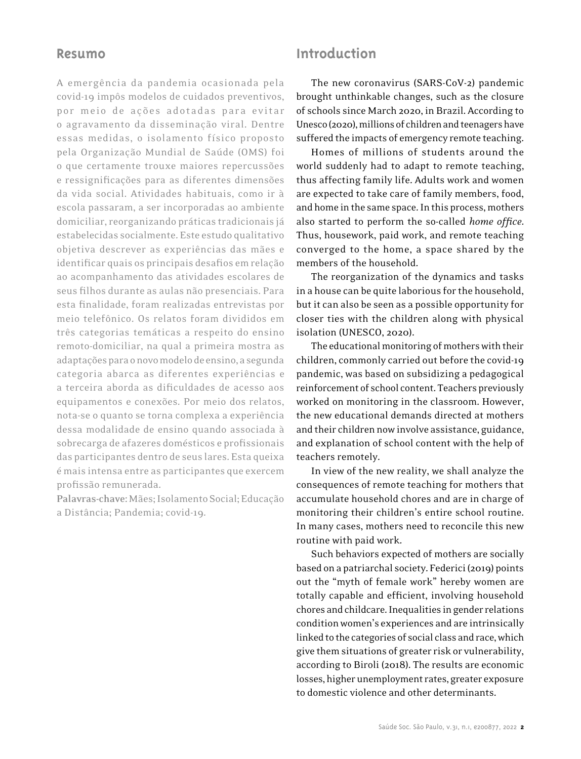### **Resumo**

A emergência da pandemia ocasionada pela covid-19 impôs modelos de cuidados preventivos, por meio de ações adotadas para evitar o agravamento da disseminação viral. Dentre essas medidas, o isolamento físico proposto pela Organização Mundial de Saúde (OMS) foi o que certamente trouxe maiores repercussões e ressignificações para as diferentes dimensões da vida social. Atividades habituais, como ir à escola passaram, a ser incorporadas ao ambiente domiciliar, reorganizando práticas tradicionais já estabelecidas socialmente. Este estudo qualitativo objetiva descrever as experiências das mães e identificar quais os principais desafios em relação ao acompanhamento das atividades escolares de seus filhos durante as aulas não presenciais. Para esta finalidade, foram realizadas entrevistas por meio telefônico. Os relatos foram divididos em três categorias temáticas a respeito do ensino remoto-domiciliar, na qual a primeira mostra as adaptações para o novo modelo de ensino, a segunda categoria abarca as diferentes experiências e a terceira aborda as dificuldades de acesso aos equipamentos e conexões. Por meio dos relatos, nota-se o quanto se torna complexa a experiência dessa modalidade de ensino quando associada à sobrecarga de afazeres domésticos e profissionais das participantes dentro de seus lares. Esta queixa é mais intensa entre as participantes que exercem profissão remunerada.

**Palavras-chave:** Mães; Isolamento Social; Educação a Distância; Pandemia; covid-19.

### **Introduction**

The new coronavirus (SARS-CoV-2) pandemic brought unthinkable changes, such as the closure of schools since March 2020, in Brazil. According to Unesco (2020), millions of children and teenagers have suffered the impacts of emergency remote teaching.

Homes of millions of students around the world suddenly had to adapt to remote teaching, thus affecting family life. Adults work and women are expected to take care of family members, food, and home in the same space. In this process, mothers also started to perform the so-called *home office*. Thus, housework, paid work, and remote teaching converged to the home, a space shared by the members of the household.

The reorganization of the dynamics and tasks in a house can be quite laborious for the household, but it can also be seen as a possible opportunity for closer ties with the children along with physical isolation (UNESCO, 2020).

The educational monitoring of mothers with their children, commonly carried out before the covid-19 pandemic, was based on subsidizing a pedagogical reinforcement of school content. Teachers previously worked on monitoring in the classroom. However, the new educational demands directed at mothers and their children now involve assistance, guidance, and explanation of school content with the help of teachers remotely.

In view of the new reality, we shall analyze the consequences of remote teaching for mothers that accumulate household chores and are in charge of monitoring their children's entire school routine. In many cases, mothers need to reconcile this new routine with paid work.

Such behaviors expected of mothers are socially based on a patriarchal society. Federici (2019) points out the "myth of female work" hereby women are totally capable and efficient, involving household chores and childcare. Inequalities in gender relations condition women's experiences and are intrinsically linked to the categories of social class and race, which give them situations of greater risk or vulnerability, according to Biroli (2018). The results are economic losses, higher unemployment rates, greater exposure to domestic violence and other determinants.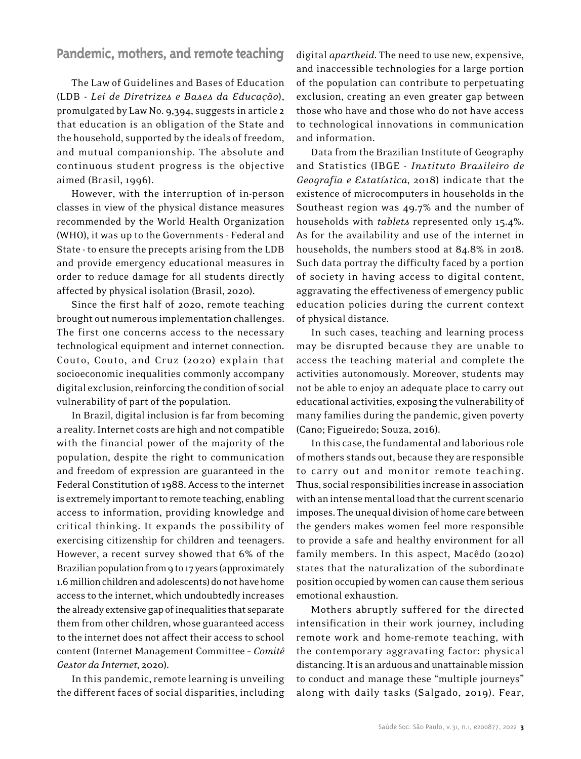### **Pandemic, mothers, and remote teaching**

The Law of Guidelines and Bases of Education (LDB - *Lei de Diretrizes e Bases da Educação*), promulgated by Law No. 9,394, suggests in article 2 that education is an obligation of the State and the household, supported by the ideals of freedom, and mutual companionship. The absolute and continuous student progress is the objective aimed (Brasil, 1996).

However, with the interruption of in-person classes in view of the physical distance measures recommended by the World Health Organization (WHO), it was up to the Governments - Federal and State - to ensure the precepts arising from the LDB and provide emergency educational measures in order to reduce damage for all students directly affected by physical isolation (Brasil, 2020).

Since the first half of 2020, remote teaching brought out numerous implementation challenges. The first one concerns access to the necessary technological equipment and internet connection. Couto, Couto, and Cruz (2020) explain that socioeconomic inequalities commonly accompany digital exclusion, reinforcing the condition of social vulnerability of part of the population.

In Brazil, digital inclusion is far from becoming a reality. Internet costs are high and not compatible with the financial power of the majority of the population, despite the right to communication and freedom of expression are guaranteed in the Federal Constitution of 1988. Access to the internet is extremely important to remote teaching, enabling access to information, providing knowledge and critical thinking. It expands the possibility of exercising citizenship for children and teenagers. However, a recent survey showed that 6% of the Brazilian population from 9 to 17 years (approximately 1.6 million children and adolescents) do not have home access to the internet, which undoubtedly increases the already extensive gap of inequalities that separate them from other children, whose guaranteed access to the internet does not affect their access to school content (Internet Management Committee – *Comitê Gestor da Internet*, 2020).

In this pandemic, remote learning is unveiling the different faces of social disparities, including

digital *apartheid*. The need to use new, expensive, and inaccessible technologies for a large portion of the population can contribute to perpetuating exclusion, creating an even greater gap between those who have and those who do not have access to technological innovations in communication and information.

Data from the Brazilian Institute of Geography and Statistics (IBGE - *Instituto Brasileiro de Geografia e Estatística*, 2018) indicate that the existence of microcomputers in households in the Southeast region was 49.7% and the number of households with *tablets* represented only 15.4%. As for the availability and use of the internet in households, the numbers stood at 84.8% in 2018. Such data portray the difficulty faced by a portion of society in having access to digital content, aggravating the effectiveness of emergency public education policies during the current context of physical distance.

In such cases, teaching and learning process may be disrupted because they are unable to access the teaching material and complete the activities autonomously. Moreover, students may not be able to enjoy an adequate place to carry out educational activities, exposing the vulnerability of many families during the pandemic, given poverty (Cano; Figueiredo; Souza, 2016).

In this case, the fundamental and laborious role of mothers stands out, because they are responsible to carry out and monitor remote teaching. Thus, social responsibilities increase in association with an intense mental load that the current scenario imposes. The unequal division of home care between the genders makes women feel more responsible to provide a safe and healthy environment for all family members. In this aspect, Macêdo (2020) states that the naturalization of the subordinate position occupied by women can cause them serious emotional exhaustion.

Mothers abruptly suffered for the directed intensification in their work journey, including remote work and home-remote teaching, with the contemporary aggravating factor: physical distancing. It is an arduous and unattainable mission to conduct and manage these "multiple journeys" along with daily tasks (Salgado, 2019). Fear,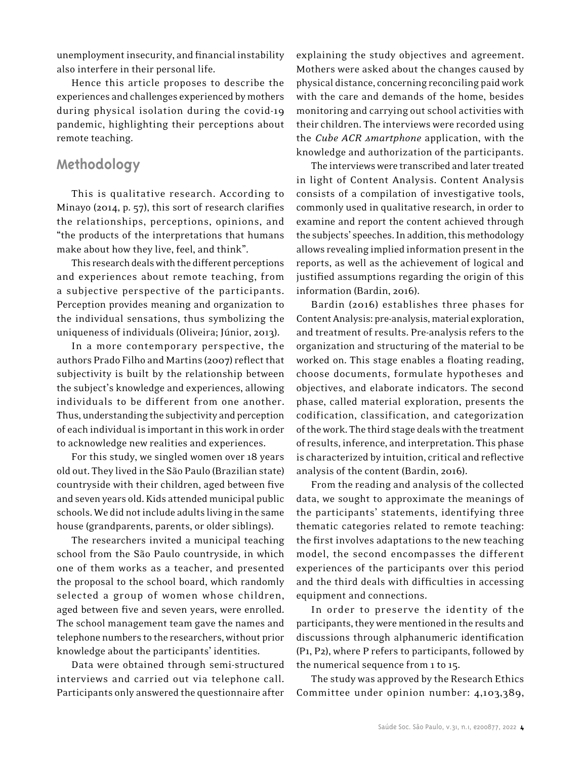unemployment insecurity, and financial instability also interfere in their personal life.

Hence this article proposes to describe the experiences and challenges experienced by mothers during physical isolation during the covid-19 pandemic, highlighting their perceptions about remote teaching.

# **Methodology**

This is qualitative research. According to Minayo (2014, p. 57), this sort of research clarifies the relationships, perceptions, opinions, and "the products of the interpretations that humans make about how they live, feel, and think".

This research deals with the different perceptions and experiences about remote teaching, from a subjective perspective of the participants. Perception provides meaning and organization to the individual sensations, thus symbolizing the uniqueness of individuals (Oliveira; Júnior, 2013).

In a more contemporary perspective, the authors Prado Filho and Martins (2007) reflect that subjectivity is built by the relationship between the subject's knowledge and experiences, allowing individuals to be different from one another. Thus, understanding the subjectivity and perception of each individual is important in this work in order to acknowledge new realities and experiences.

For this study, we singled women over 18 years old out. They lived in the São Paulo (Brazilian state) countryside with their children, aged between five and seven years old. Kids attended municipal public schools. We did not include adults living in the same house (grandparents, parents, or older siblings).

The researchers invited a municipal teaching school from the São Paulo countryside, in which one of them works as a teacher, and presented the proposal to the school board, which randomly selected a group of women whose children, aged between five and seven years, were enrolled. The school management team gave the names and telephone numbers to the researchers, without prior knowledge about the participants' identities.

Data were obtained through semi-structured interviews and carried out via telephone call. Participants only answered the questionnaire after explaining the study objectives and agreement. Mothers were asked about the changes caused by physical distance, concerning reconciling paid work with the care and demands of the home, besides monitoring and carrying out school activities with their children. The interviews were recorded using the *Cube ACR smartphone* application, with the knowledge and authorization of the participants.

The interviews were transcribed and later treated in light of Content Analysis. Content Analysis consists of a compilation of investigative tools, commonly used in qualitative research, in order to examine and report the content achieved through the subjects' speeches. In addition, this methodology allows revealing implied information present in the reports, as well as the achievement of logical and justified assumptions regarding the origin of this information (Bardin, 2016).

Bardin (2016) establishes three phases for Content Analysis: pre-analysis, material exploration, and treatment of results. Pre-analysis refers to the organization and structuring of the material to be worked on. This stage enables a floating reading, choose documents, formulate hypotheses and objectives, and elaborate indicators. The second phase, called material exploration, presents the codification, classification, and categorization of the work. The third stage deals with the treatment of results, inference, and interpretation. This phase is characterized by intuition, critical and reflective analysis of the content (Bardin, 2016).

From the reading and analysis of the collected data, we sought to approximate the meanings of the participants' statements, identifying three thematic categories related to remote teaching: the first involves adaptations to the new teaching model, the second encompasses the different experiences of the participants over this period and the third deals with difficulties in accessing equipment and connections.

In order to preserve the identity of the participants, they were mentioned in the results and discussions through alphanumeric identification (P1, P2), where P refers to participants, followed by the numerical sequence from 1 to 15.

The study was approved by the Research Ethics Committee under opinion number: 4,103,389,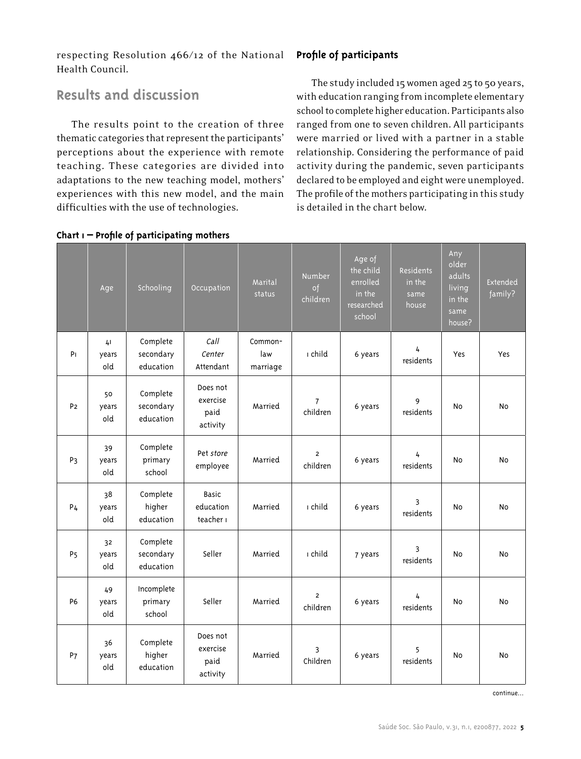respecting Resolution 466/12 of the National Health Council.

## **Results and discussion**

The results point to the creation of three thematic categories that represent the participants' perceptions about the experience with remote teaching. These categories are divided into adaptations to the new teaching model, mothers' experiences with this new model, and the main difficulties with the use of technologies.

# **Profile of participants**

The study included 15 women aged 25 to 50 years, with education ranging from incomplete elementary school to complete higher education. Participants also ranged from one to seven children. All participants were married or lived with a partner in a stable relationship. Considering the performance of paid activity during the pandemic, seven participants declared to be employed and eight were unemployed. The profile of the mothers participating in this study is detailed in the chart below.

|                | Age                       | Schooling                                       | Occupation                                            | Marital<br>status   | <b>Number</b><br>of<br>children | Age of<br>the child<br>enrolled<br>$\frac{1}{\ln \theta}$<br>researched<br>school | Residents<br>in the<br>same<br>house | Any<br>older<br>adults<br>living<br>in the<br>same<br>house? | Extended<br>family? |
|----------------|---------------------------|-------------------------------------------------|-------------------------------------------------------|---------------------|---------------------------------|-----------------------------------------------------------------------------------|--------------------------------------|--------------------------------------------------------------|---------------------|
| PI             | 41<br>years               | Complete<br>secondary                           | Call<br>Center                                        | Common-<br>law      | ı child                         | 6 years                                                                           | 4<br>residents                       | Yes                                                          | Yes                 |
| P <sub>2</sub> | old<br>50<br>years<br>old | education<br>Complete<br>secondary<br>education | Attendant<br>Does not<br>exercise<br>paid<br>activity | marriage<br>Married | $\overline{7}$<br>children      | 6 years                                                                           | 9<br>residents                       | No                                                           | No                  |
| P <sub>3</sub> | 39<br>years<br>old        | Complete<br>primary<br>school                   | Pet store<br>employee                                 | Married             | $\overline{2}$<br>children      | 6 years                                                                           | 4<br>residents                       | <b>No</b>                                                    | N <sub>o</sub>      |
| P <sub>4</sub> | 38<br>years<br>old        | Complete<br>higher<br>education                 | <b>Basic</b><br>education<br>teacher i                | Married             | ı child                         | 6 years                                                                           | 3<br>residents                       | No                                                           | No                  |
| P <sub>5</sub> | 32<br>years<br>old        | Complete<br>secondary<br>education              | Seller                                                | Married             | ı child                         | 7 years                                                                           | 3<br>residents                       | No                                                           | No                  |
| <b>P6</b>      | 49<br>years<br>old        | Incomplete<br>primary<br>school                 | Seller                                                | Married             | $\overline{2}$<br>children      | 6 years                                                                           | 4<br>residents                       | <b>No</b>                                                    | N <sub>o</sub>      |
| P7             | 36<br>years<br>old        | Complete<br>higher<br>education                 | Does not<br>exercise<br>paid<br>activity              | Married             | 3<br>Children                   | 6 years                                                                           | 5<br>residents                       | No                                                           | No                  |

#### **Chart 1 – Profile of participating mothers**

continue...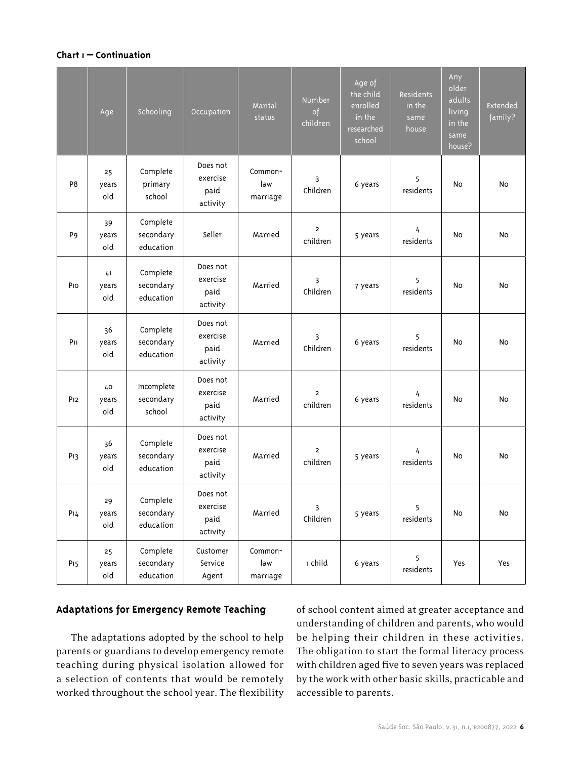### **Chart 1 – Continuation**

|                 | Age                | Schooling                          | Occupation                               | Marital<br>status          | <b>Number</b><br>of<br>children | Age of<br>the child<br>enrolled<br>in the<br>researched<br>school | Residents<br>in the<br>same<br>house | Any<br>older<br>adults<br>living<br>in the<br>same<br>house? | <b>Extended</b><br>family? |
|-----------------|--------------------|------------------------------------|------------------------------------------|----------------------------|---------------------------------|-------------------------------------------------------------------|--------------------------------------|--------------------------------------------------------------|----------------------------|
| P <sub>8</sub>  | 25<br>years<br>old | Complete<br>primary<br>school      | Does not<br>exercise<br>paid<br>activity | Common-<br>law<br>marriage | 3<br>Children                   | 6 years                                                           | 5<br>residents                       | No                                                           | No                         |
| P <sub>9</sub>  | 39<br>years<br>old | Complete<br>secondary<br>education | Seller                                   | Married                    | $\overline{2}$<br>children      | 5 years                                                           | 4<br>residents                       | No                                                           | No                         |
| Pio             | 41<br>years<br>old | Complete<br>secondary<br>education | Does not<br>exercise<br>paid<br>activity | Married                    | 3<br>Children                   | 7 years                                                           | 5<br>residents                       | No                                                           | No                         |
| PH              | 36<br>years<br>old | Complete<br>secondary<br>education | Does not<br>exercise<br>paid<br>activity | Married                    | 3<br>Children                   | 6 years                                                           | 5<br>residents                       | No                                                           | <b>No</b>                  |
| P <sub>12</sub> | 40<br>years<br>old | Incomplete<br>secondary<br>school  | Does not<br>exercise<br>paid<br>activity | Married                    | $\overline{2}$<br>children      | 6 years                                                           | 4<br>residents                       | No                                                           | No                         |
| P <sub>13</sub> | 36<br>years<br>old | Complete<br>secondary<br>education | Does not<br>exercise<br>paid<br>activity | Married                    | $\overline{2}$<br>children      | 5 years                                                           | 4<br>residents                       | No                                                           | No                         |
| P14             | 29<br>years<br>old | Complete<br>secondary<br>education | Does not<br>exercise<br>paid<br>activity | Married                    | 3<br>Children                   | 5 years                                                           | 5<br>residents                       | No                                                           | No                         |
| P <sub>15</sub> | 25<br>years<br>old | Complete<br>secondary<br>education | Customer<br>Service<br>Agent             | Common-<br>law<br>marriage | ı child                         | 6 years                                                           | 5<br>residents                       | Yes                                                          | Yes                        |

### **Adaptations for Emergency Remote Teaching**

The adaptations adopted by the school to help parents or guardians to develop emergency remote teaching during physical isolation allowed for a selection of contents that would be remotely worked throughout the school year. The flexibility

of school content aimed at greater acceptance and understanding of children and parents, who would be helping their children in these activities. The obligation to start the formal literacy process with children aged five to seven years was replaced by the work with other basic skills, practicable and accessible to parents.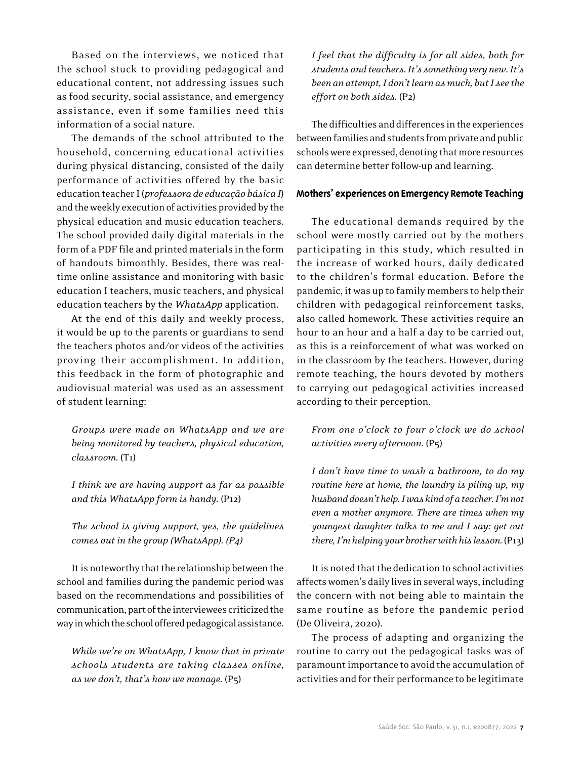Based on the interviews, we noticed that the school stuck to providing pedagogical and educational content, not addressing issues such as food security, social assistance, and emergency assistance, even if some families need this information of a social nature.

The demands of the school attributed to the household, concerning educational activities during physical distancing, consisted of the daily performance of activities offered by the basic education teacher I (*professora de educação básica I*) and the weekly execution of activities provided by the physical education and music education teachers. The school provided daily digital materials in the form of a PDF file and printed materials in the form of handouts bimonthly. Besides, there was realtime online assistance and monitoring with basic education I teachers, music teachers, and physical education teachers by the *WhatsApp* application.

At the end of this daily and weekly process, it would be up to the parents or guardians to send the teachers photos and/or videos of the activities proving their accomplishment. In addition, this feedback in the form of photographic and audiovisual material was used as an assessment of student learning:

*Groups were made on WhatsApp and we are being monitored by teachers, physical education, classroom.* (T1)

*I think we are having support as far as possible and this WhatsApp form is handy.* (P12)

*The school is giving support, yes, the guidelines comes out in the group (WhatsApp). (P4)*

It is noteworthy that the relationship between the school and families during the pandemic period was based on the recommendations and possibilities of communication, part of the interviewees criticized the way in which the school offered pedagogical assistance.

*While we're on WhatsApp, I know that in private schools students are taking classes online, as we don't, that's how we manage.* (P5)

*I feel that the difficulty is for all sides, both for students and teachers. It's something very new. It's been an attempt, I don't learn as much, but I see the effort on both sides.* (P2)

The difficulties and differences in the experiences between families and students from private and public schools were expressed, denoting that more resources can determine better follow-up and learning.

#### **Mothers' experiences on Emergency Remote Teaching**

The educational demands required by the school were mostly carried out by the mothers participating in this study, which resulted in the increase of worked hours, daily dedicated to the children's formal education. Before the pandemic, it was up to family members to help their children with pedagogical reinforcement tasks, also called homework. These activities require an hour to an hour and a half a day to be carried out, as this is a reinforcement of what was worked on in the classroom by the teachers. However, during remote teaching, the hours devoted by mothers to carrying out pedagogical activities increased according to their perception.

*From one o'clock to four o'clock we do school activities every afternoon.* (P5)

*I don't have time to wash a bathroom, to do my routine here at home, the laundry is piling up, my husband doesn't help. I was kind of a teacher. I'mnot even a mother anymore. There are times when my youngest daughter talks to me and I say: get out there, I'mhelping your brother with his lesson.* (P13)

It is noted that the dedication to school activities affects women's daily lives in several ways, including the concern with not being able to maintain the same routine as before the pandemic period (De Oliveira, 2020).

The process of adapting and organizing the routine to carry out the pedagogical tasks was of paramount importance to avoid the accumulation of activities and for their performance to be legitimate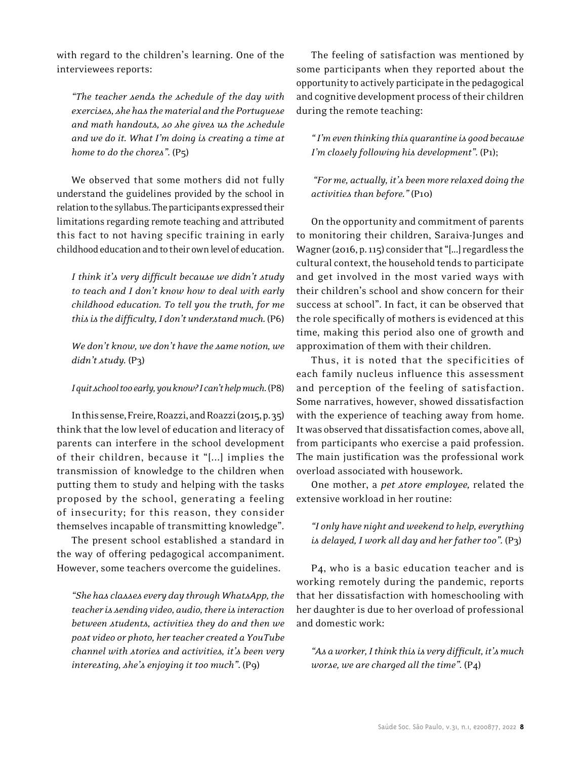with regard to the children's learning. One of the interviewees reports:

*"The teacher sends the schedule of the day with exercises, she has the material and the Portuguese and math handouts, so she gives us the schedule and we do it. What I'm doing is creating a time at home to do the chores".* (P5)

We observed that some mothers did not fully understand the guidelines provided by the school in relation to the syllabus. The participants expressed their limitations regarding remote teaching and attributed this fact to not having specific training in early childhood education and to their own level of education.

*I think it's very difficult because we didn't study to teach and I don't know how to deal with early childhood education. To tell you the truth, for me this is the difficulty, I don't understand much.* (P6)

*We don't know, we don't have the same notion, we didn't study.* (P3)

*I quit school too early, you know? I can't help much.* (P8)

In this sense, Freire, Roazzi, and Roazzi (2015, p. 35) think that the low level of education and literacy of parents can interfere in the school development of their children, because it "[...] implies the transmission of knowledge to the children when putting them to study and helping with the tasks proposed by the school, generating a feeling of insecurity; for this reason, they consider themselves incapable of transmitting knowledge".

The present school established a standard in the way of offering pedagogical accompaniment. However, some teachers overcome the guidelines.

*"She has classes every day through WhatsApp, the teacher is sending video, audio, there is interaction between students, activities they do and then we post video or photo, her teacher created a YouTube channel with stories and activities, it's been very interesting, she's enjoying it too much"*. (P9)

The feeling of satisfaction was mentioned by some participants when they reported about the opportunity to actively participate in the pedagogical and cognitive development process of their children during the remote teaching:

*" I'm even thinking this quarantine is good because I'm closely following his development".* (P1);

*"For me, actually, it's been more relaxed doing the activities than before."* (P10)

On the opportunity and commitment of parents to monitoring their children, Saraiva-Junges and Wagner (2016, p. 115) consider that "[...] regardless the cultural context, the household tends to participate and get involved in the most varied ways with their children's school and show concern for their success at school". In fact, it can be observed that the role specifically of mothers is evidenced at this time, making this period also one of growth and approximation of them with their children.

Thus, it is noted that the specificities of each family nucleus influence this assessment and perception of the feeling of satisfaction. Some narratives, however, showed dissatisfaction with the experience of teaching away from home. It was observed that dissatisfaction comes, above all, from participants who exercise a paid profession. The main justification was the professional work overload associated with housework.

One mother, a *pet store employee,* related the extensive workload in her routine:

*"I only have night and weekend to help, everything is delayed, I work all day and her father too".* (P3)

P4, who is a basic education teacher and is working remotely during the pandemic, reports that her dissatisfaction with homeschooling with her daughter is due to her overload of professional and domestic work:

*"As a worker, I think this is very difficult, it's much worse, we are charged all the time".* (P4)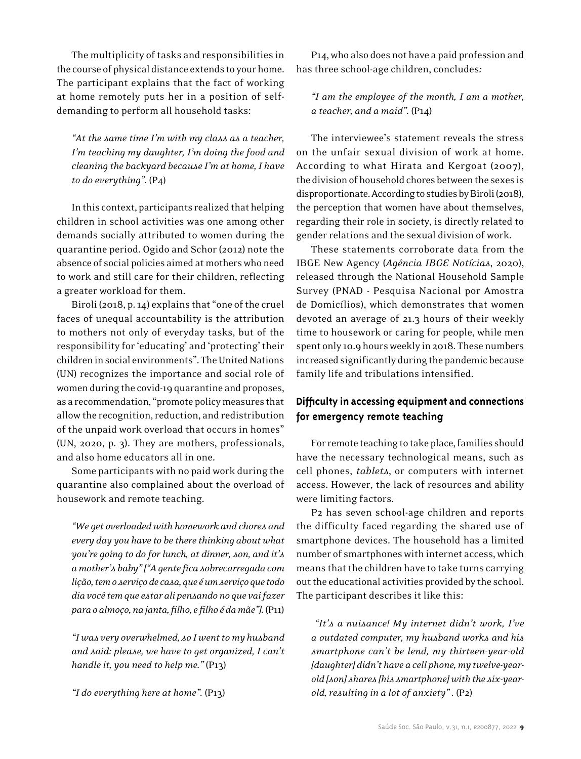The multiplicity of tasks and responsibilities in the course of physical distance extends to your home. The participant explains that the fact of working at home remotely puts her in a position of selfdemanding to perform all household tasks:

*"At the same time I'm with my class as a teacher, I'm teaching my daughter, I'm doing the food and cleaning the backyard because I'm at home, I have to do everything".* (P4)

In this context, participants realized that helping children in school activities was one among other demands socially attributed to women during the quarantine period. Ogido and Schor (2012) note the absence of social policies aimed at mothers who need to work and still care for their children, reflecting a greater workload for them.

Biroli (2018, p. 14) explains that "one of the cruel faces of unequal accountability is the attribution to mothers not only of everyday tasks, but of the responsibility for 'educating' and 'protecting' their children in social environments". The United Nations (UN) recognizes the importance and social role of women during the covid-19 quarantine and proposes, as a recommendation, "promote policy measures that allow the recognition, reduction, and redistribution of the unpaid work overload that occurs in homes" (UN, 2020, p. 3). They are mothers, professionals, and also home educators all in one.

Some participants with no paid work during the quarantine also complained about the overload of housework and remote teaching.

*"We get overloaded with homework and chores and every day you have to be there thinking about what you're going to do for lunch, at dinner, son, and it's a mother's baby" ["A gente fica sobrecarregada com lição, tem o serviço de casa, que é um serviço que todo dia você tem que estar ali pensando no que vai fazer para o almoço, na janta, filho, e filho é da mãe"].* (P11)

*"I was very overwhelmed, so I went to my husband and said: please, we have to get organized, I can't handle it, you need to help me."* (P13)

*"I do everything here at home".* (P13)

P14, who also does not have a paid profession and has three school-age children, concludes*:*

*"I am the employee of the month, I am a mother, a teacher, and a maid".* (P14)

The interviewee's statement reveals the stress on the unfair sexual division of work at home. According to what Hirata and Kergoat (2007), the division of household chores between the sexes is disproportionate. According to studies by Biroli (2018), the perception that women have about themselves, regarding their role in society, is directly related to gender relations and the sexual division of work.

These statements corroborate data from the IBGE New Agency (*Agência IBGE Notícias*, 2020), released through the National Household Sample Survey (PNAD - Pesquisa Nacional por Amostra de Domicílios), which demonstrates that women devoted an average of 21.3 hours of their weekly time to housework or caring for people, while men spent only 10.9 hours weekly in 2018. These numbers increased significantly during the pandemic because family life and tribulations intensified.

### **Difficulty in accessing equipment and connections for emergency remote teaching**

For remote teaching to take place, families should have the necessary technological means, such as cell phones, *tablets*, or computers with internet access. However, the lack of resources and ability were limiting factors.

P2 has seven school-age children and reports the difficulty faced regarding the shared use of smartphone devices. The household has a limited number of smartphones with internet access, which means that the children have to take turns carrying out the educational activities provided by the school. The participant describes it like this:

 *"It's a nuisance! My internet didn't work, I've a outdated computer, my husband works and his smartphone can't be lend, my thirteen-year-old [daughter] didn't have a cell phone, my twelve-yearold [son] shares [his smartphone] with the six-yearold, resulting in a lot of anxiety" .* (P2)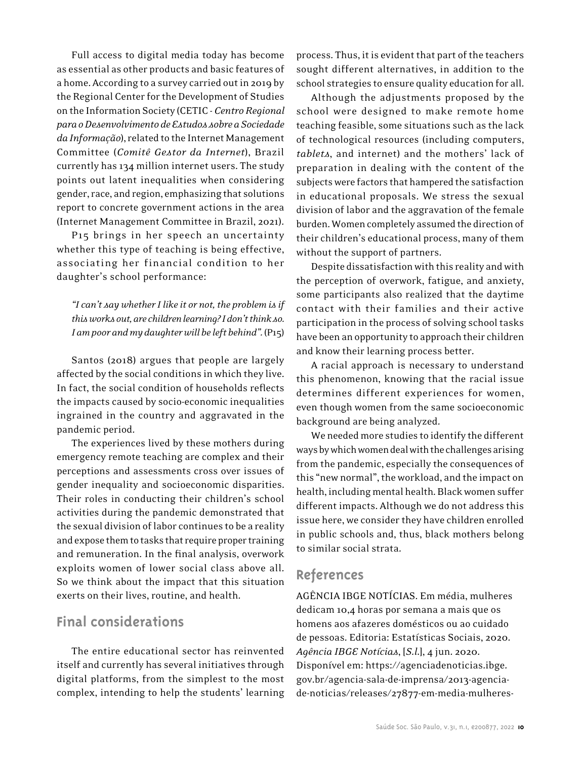Full access to digital media today has become as essential as other products and basic features of a home. According to a survey carried out in 2019 by the Regional Center for the Development of Studies on the Information Society (CETIC - *Centro Regional para o Desenvolvimento de Estudos sobre a Sociedade da Informação*), related to the Internet Management Committee (*Comitê Gestor da Internet*), Brazil currently has 134 million internet users. The study points out latent inequalities when considering gender, race, and region, emphasizing that solutions report to concrete government actions in the area (Internet Management Committee in Brazil, 2021).

P15 brings in her speech an uncertainty whether this type of teaching is being effective, associating her financial condition to her daughter's school performance:

*"I can't say whether I like it or not, the problem is if this works out, are children learning? I don't think so.*  I am poor and my daughter will be left behind". (P15)

Santos (2018) argues that people are largely affected by the social conditions in which they live. In fact, the social condition of households reflects the impacts caused by socio-economic inequalities ingrained in the country and aggravated in the pandemic period.

The experiences lived by these mothers during emergency remote teaching are complex and their perceptions and assessments cross over issues of gender inequality and socioeconomic disparities. Their roles in conducting their children's school activities during the pandemic demonstrated that the sexual division of labor continues to be a reality and expose them to tasks that require proper training and remuneration. In the final analysis, overwork exploits women of lower social class above all. So we think about the impact that this situation exerts on their lives, routine, and health.

### **Final considerations**

The entire educational sector has reinvented itself and currently has several initiatives through digital platforms, from the simplest to the most complex, intending to help the students' learning process. Thus, it is evident that part of the teachers sought different alternatives, in addition to the school strategies to ensure quality education for all.

Although the adjustments proposed by the school were designed to make remote home teaching feasible, some situations such as the lack of technological resources (including computers, *tablets*, and internet) and the mothers' lack of preparation in dealing with the content of the subjects were factors that hampered the satisfaction in educational proposals. We stress the sexual division of labor and the aggravation of the female burden. Women completely assumed the direction of their children's educational process, many of them without the support of partners.

Despite dissatisfaction with this reality and with the perception of overwork, fatigue, and anxiety, some participants also realized that the daytime contact with their families and their active participation in the process of solving school tasks have been an opportunity to approach their children and know their learning process better.

A racial approach is necessary to understand this phenomenon, knowing that the racial issue determines different experiences for women, even though women from the same socioeconomic background are being analyzed.

We needed more studies to identify the different ways by which women deal with the challenges arising from the pandemic, especially the consequences of this "new normal", the workload, and the impact on health, including mental health. Black women suffer different impacts. Although we do not address this issue here, we consider they have children enrolled in public schools and, thus, black mothers belong to similar social strata.

# **References**

AGÊNCIA IBGE NOTÍCIAS. Em média, mulheres dedicam 10,4 horas por semana a mais que os homens aos afazeres domésticos ou ao cuidado de pessoas. Editoria: Estatísticas Sociais, 2020. *Agência IBGE Notícias*, [*S.l*.], 4 jun. 2020. Disponível em: https://agenciadenoticias.ibge. gov.br/agencia-sala-de-imprensa/2013-agenciade-noticias/releases/27877-em-media-mulheres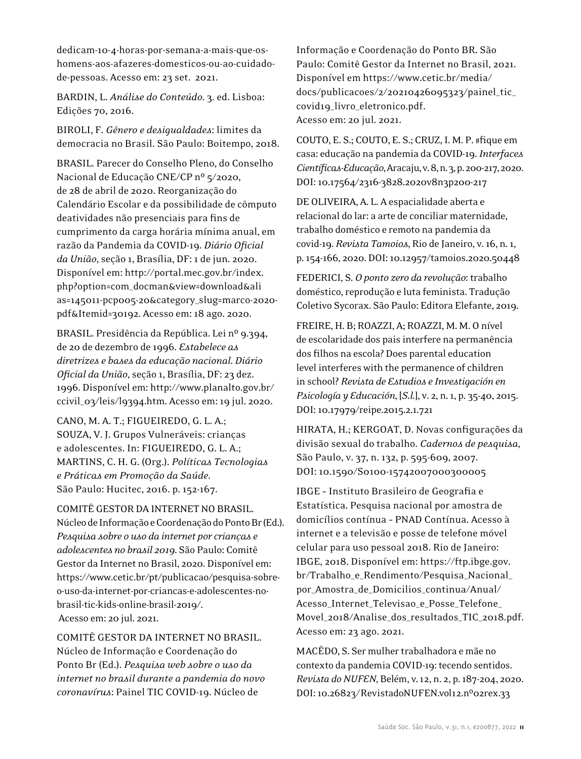dedicam-10-4-horas-por-semana-a-mais-que-oshomens-aos-afazeres-domesticos-ou-ao-cuidadode-pessoas. Acesso em: 23 set. 2021.

BARDIN, L. *Análise do Conteúdo*. 3. ed. Lisboa: Edições 70, 2016.

BIROLI, F. *Gênero e desigualdades*: limites da democracia no Brasil. São Paulo: Boitempo, 2018.

BRASIL. Parecer do Conselho Pleno, do Conselho Nacional de Educação CNE/CP nº 5/2020, de 28 de abril de 2020. Reorganização do Calendário Escolar e da possibilidade de cômputo deatividades não presenciais para fins de cumprimento da carga horária mínima anual, em razão da Pandemia da COVID-19. *Diário Oficial da União*, seção 1, Brasília, DF: 1 de jun. 2020. Disponível em: http://portal.mec.gov.br/index. php?option=com\_docman&view=download&ali as=145011-pcp005-20&category\_slug=marco-2020 pdf&Itemid=30192. Acesso em: 18 ago. 2020.

BRASIL. Presidência da República. Lei nº 9.394, de 20 de dezembro de 1996. *Estabelece as diretrizes e bases da educação nacional*. *Diário Oficial da União*, seção 1, Brasília, DF: 23 dez. 1996. Disponível em: http://www.planalto.gov.br/ ccivil\_03/leis/l9394.htm. Acesso em: 19 jul. 2020.

CANO, M. A. T.; FIGUEIREDO, G. L. A.; SOUZA, V. J. Grupos Vulneráveis: crianças e adolescentes. In: FIGUEIREDO, G. L. A.; MARTINS, C. H. G. (Org.). *Políticas Tecnologias e Práticas em Promoção da Saúde*. São Paulo: Hucitec, 2016. p. 152-167.

COMITÊ GESTOR DA INTERNET NO BRASIL. Núcleo de Informação e Coordenação do Ponto Br (Ed.). *Pesquisa sobre o uso da internet por crianças e adolescentes no brasil 2019*. São Paulo: Comitê Gestor da Internet no Brasil, 2020. Disponível em: https://www.cetic.br/pt/publicacao/pesquisa-sobreo-uso-da-internet-por-criancas-e-adolescentes-nobrasil-tic-kids-online-brasil-2019/. Acesso em: 20 jul. 2021.

COMITÊ GESTOR DA INTERNET NO BRASIL. Núcleo de Informação e Coordenação do Ponto Br (Ed.). *Pesquisa web sobre o uso da internet no brasil durante a pandemia do novo coronavírus*: Painel TIC COVID-19. Núcleo de

Informação e Coordenação do Ponto BR. São Paulo: Comitê Gestor da Internet no Brasil, 2021. Disponível em https://www.cetic.br/media/ docs/publicacoes/2/20210426095323/painel\_tic\_ covid19\_livro\_eletronico.pdf. Acesso em: 20 jul. 2021.

COUTO, E. S.; COUTO, E. S.; CRUZ, I. M. P. #fique em casa: educação na pandemia da COVID-19. *Interfaces Científicas-Educação*, Aracaju, v. 8, n. 3, p. 200-217, 2020. DOI: 10.17564/2316-3828.2020v8n3p200-217

DE OLIVEIRA, A. L. A espacialidade aberta e relacional do lar: a arte de conciliar maternidade, trabalho doméstico e remoto na pandemia da covid-19. *Revista Tamoios*, Rio de Janeiro, v. 16, n. 1, p. 154-166, 2020. DOI: 10.12957/tamoios.2020.50448

FEDERICI, S. *O ponto zero da revolução*: trabalho doméstico, reprodução e luta feminista. Tradução Coletivo Sycorax. São Paulo: Editora Elefante, 2019.

FREIRE, H. B; ROAZZI, A; ROAZZI, M. M. O nível de escolaridade dos pais interfere na permanência dos filhos na escola? Does parental education level interferes with the permanence of children in school? *Revista de Estudios e Investigación en Psicología y Educación*, [*S.l.*], v. 2, n. 1, p. 35-40, 2015. DOI: 10.17979/reipe.2015.2.1.721

HIRATA, H.; KERGOAT, D. Novas configurações da divisão sexual do trabalho. *Cadernos de pesquisa*, São Paulo, v. 37, n. 132, p. 595-609, 2007. DOI: 10.1590/S0100-15742007000300005

IBGE – Instituto Brasileiro de Geografia e Estatística. Pesquisa nacional por amostra de domicílios contínua – PNAD Contínua. Acesso à internet e a televisão e posse de telefone móvel celular para uso pessoal 2018. Rio de Janeiro: IBGE, 2018. Disponível em: https://ftp.ibge.gov. br/Trabalho\_e\_Rendimento/Pesquisa\_Nacional\_ por\_Amostra\_de\_Domicilios\_continua/Anual/ Acesso\_Internet\_Televisao\_e\_Posse\_Telefone\_ Movel\_2018/Analise\_dos\_resultados\_TIC\_2018.pdf. Acesso em: 23 ago. 2021.

MACÊDO, S. Ser mulher trabalhadora e mãe no contexto da pandemia COVID-19: tecendo sentidos. *Revista do NUFEN*, Belém, v. 12, n. 2, p. 187-204, 2020. DOI: 10.26823/RevistadoNUFEN.vol12.nº02rex.33